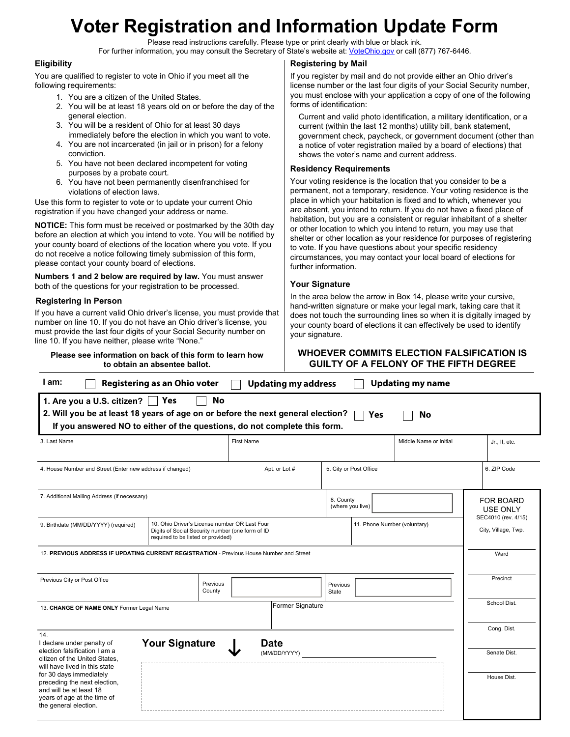# **Voter Registration and Information Update Form**

Please read instructions carefully. Please type or print clearly with blue or black ink. For further information, you may consult the Secretary of State's website at: [VoteOhio.gov](https://www.ohiosos.gov/elections/voters/) or call (877) 767-6446.

### **Eligibility**

You are qualified to register to vote in Ohio if you meet all the following requirements:

- 1. You are a citizen of the United States.
- 2. You will be at least 18 years old on or before the day of the general election.
- 3. You will be a resident of Ohio for at least 30 days immediately before the election in which you want to vote.
- 4. You are not incarcerated (in jail or in prison) for a felony conviction.
- 5. You have not been declared incompetent for voting purposes by a probate court.
- 6. You have not been permanently disenfranchised for violations of election laws.

Use this form to register to vote or to update your current Ohio registration if you have changed your address or name.

**NOTICE:** This form must be received or postmarked by the 30th day before an election at which you intend to vote. You will be notified by your county board of elections of the location where you vote. If you do not receive a notice following timely submission of this form, please contact your county board of elections.

**Numbers 1 and 2 below are required by law.** You must answer both of the questions for your registration to be processed.

### **Registering in Person**

If you have a current valid Ohio driver's license, you must provide that number on line 10. If you do not have an Ohio driver's license, you must provide the last four digits of your Social Security number on line 10. If you have neither, please write "None."

**Please see information on back of this form to learn how to obtain an absentee ballot.**

### **Registering by Mail**

If you register by mail and do not provide either an Ohio driver's license number or the last four digits of your Social Security number, you must enclose with your application a copy of one of the following forms of identification:

Current and valid photo identification, a military identification, or a current (within the last 12 months) utility bill, bank statement, government check, paycheck, or government document (other than a notice of voter registration mailed by a board of elections) that shows the voter's name and current address.

### **Residency Requirements**

Your voting residence is the location that you consider to be a permanent, not a temporary, residence. Your voting residence is the place in which your habitation is fixed and to which, whenever you are absent, you intend to return. If you do not have a fixed place of habitation, but you are a consistent or regular inhabitant of a shelter or other location to which you intend to return, you may use that shelter or other location as your residence for purposes of registering to vote. If you have questions about your specific residency circumstances, you may contact your local board of elections for further information.

### **Your Signature**

## **WHOEVER COMMITS ELECTION FALSIFICATION IS GUILTY OF A FELONY OF THE FIFTH DEGREE**

| l am:<br>Registering as an Ohio voter<br><b>Updating my name</b><br><b>Updating my address</b>                                                                                                                                                     |                                                                                                                                         |                               |                              |                        |                                                            |                     |                             |
|----------------------------------------------------------------------------------------------------------------------------------------------------------------------------------------------------------------------------------------------------|-----------------------------------------------------------------------------------------------------------------------------------------|-------------------------------|------------------------------|------------------------|------------------------------------------------------------|---------------------|-----------------------------|
| <b>No</b><br>Yes<br>1. Are you a U.S. citizen? $\vert \ \vert$<br>2. Will you be at least 18 years of age on or before the next general election?<br><b>Yes</b><br>No<br>If you answered NO to either of the questions, do not complete this form. |                                                                                                                                         |                               |                              |                        |                                                            |                     |                             |
| 3. Last Name                                                                                                                                                                                                                                       |                                                                                                                                         | <b>First Name</b>             |                              | Middle Name or Initial |                                                            |                     | Jr., II, etc.               |
| 4. House Number and Street (Enter new address if changed)                                                                                                                                                                                          | Apt. or Lot #                                                                                                                           |                               | 5. City or Post Office       |                        |                                                            | 6. ZIP Code         |                             |
| 7. Additional Mailing Address (if necessary)                                                                                                                                                                                                       |                                                                                                                                         | 8. County<br>(where you live) |                              |                        | <b>FOR BOARD</b><br><b>USE ONLY</b><br>SEC4010 (rev. 4/15) |                     |                             |
| 9. Birthdate (MM/DD/YYYY) (required)                                                                                                                                                                                                               | 10. Ohio Driver's License number OR Last Four<br>Digits of Social Security number (one form of ID<br>required to be listed or provided) |                               | 11. Phone Number (voluntary) |                        |                                                            | City, Village, Twp. |                             |
| 12. PREVIOUS ADDRESS IF UPDATING CURRENT REGISTRATION - Previous House Number and Street                                                                                                                                                           |                                                                                                                                         |                               |                              |                        |                                                            |                     | Ward                        |
| Previous City or Post Office<br>Previous<br>County                                                                                                                                                                                                 |                                                                                                                                         |                               | State                        | Previous               |                                                            |                     | Precinct                    |
| 13. CHANGE OF NAME ONLY Former Legal Name                                                                                                                                                                                                          | Former Signature                                                                                                                        |                               |                              |                        |                                                            | School Dist.        |                             |
| 14.<br>I declare under penalty of<br>election falsification I am a                                                                                                                                                                                 | <b>Your Signature</b><br><b>Date</b><br>(MM/DD/YYYY)                                                                                    |                               |                              |                        |                                                            |                     | Cong. Dist.<br>Senate Dist. |
| citizen of the United States,<br>will have lived in this state<br>for 30 days immediately<br>preceding the next election,<br>and will be at least 18<br>years of age at the time of<br>the general election.                                       |                                                                                                                                         |                               |                              |                        |                                                            |                     | House Dist.                 |